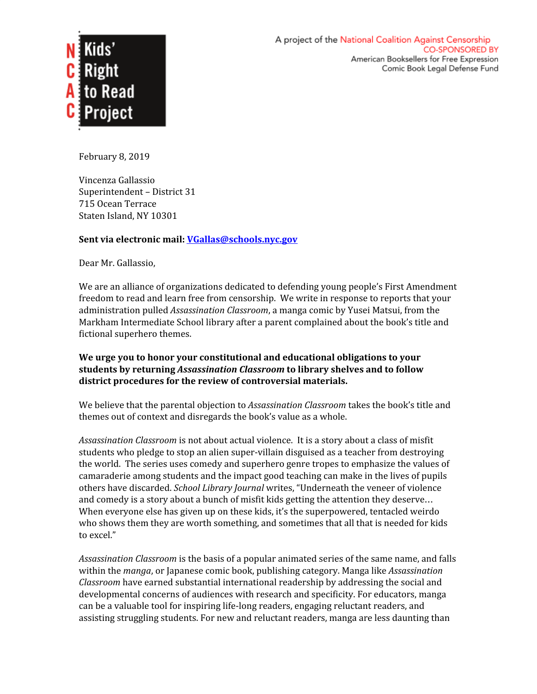

February 8, 2019

Vincenza Gallassio Superintendent – District 31 715 Ocean Terrace Staten Island, NY 10301

## **Sent via electronic mail: [VGallas@schools.nyc.gov](mailto:VGallas@schools.nyc.gov)**

Dear Mr. Gallassio,

We are an alliance of organizations dedicated to defending young people's First Amendment freedom to read and learn free from censorship. We write in response to reports that your administration pulled *Assassination Classroom*, a manga comic by Yusei Matsui, from the Markham Intermediate School library after a parent complained about the book's title and fictional superhero themes.

## **We urge you to honor your constitutional and educational obligations to your students by returning** *Assassination Classroom* **to library shelves and to follow district procedures for the review of controversial materials.**

We believe that the parental objection to *Assassination Classroom* takes the book's title and themes out of context and disregards the book's value as a whole.

*Assassination Classroom* is not about actual violence. It is a story about a class of misfit students who pledge to stop an alien super-villain disguised as a teacher from destroying the world. The series uses comedy and superhero genre tropes to emphasize the values of camaraderie among students and the impact good teaching can make in the lives of pupils others have discarded. *School Library Journal* writes, "Underneath the veneer of violence and comedy is a story about a bunch of misfit kids getting the attention they deserve… When everyone else has given up on these kids, it's the superpowered, tentacled weirdo who shows them they are worth something, and sometimes that all that is needed for kids to excel."

*Assassination Classroom* is the basis of a popular animated series of the same name, and falls within the *manga*, or Japanese comic book, publishing category. Manga like *Assassination Classroom* have earned substantial international readership by addressing the social and developmental concerns of audiences with research and specificity. For educators, manga can be a valuable tool for inspiring life-long readers, engaging reluctant readers, and assisting struggling students. For new and reluctant readers, manga are less daunting than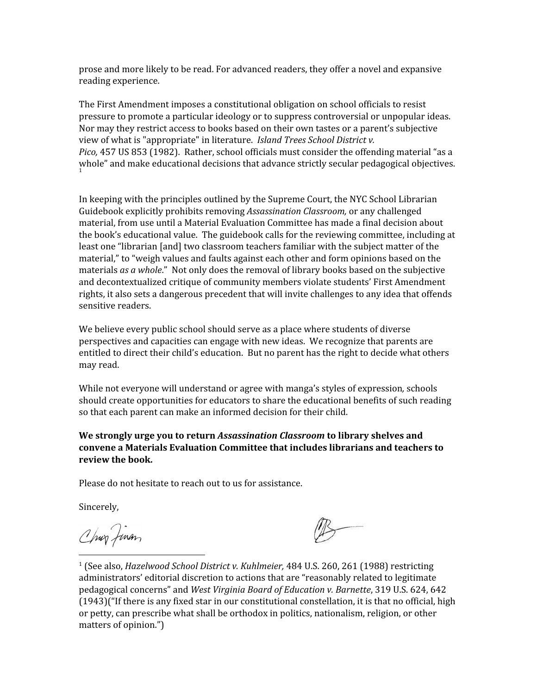prose and more likely to be read. For advanced readers, they offer a novel and expansive reading experience.

The First Amendment imposes a constitutional obligation on school officials to resist pressure to promote a particular ideology or to suppress controversial or unpopular ideas. Nor may they restrict access to books based on their own tastes or a parent's subjective view of what is "appropriate" in literature. *Island Trees School District v. Pico,* 457 US 853 (1982). Rather, school officials must consider the offending material "as a whole" and make educational decisions that advance strictly secular pedagogical objectives. 1

In keeping with the principles outlined by the Supreme Court, the NYC School Librarian Guidebook explicitly prohibits removing *Assassination Classroom,* or any challenged material, from use until a Material Evaluation Committee has made a final decision about the book's educational value. The guidebook calls for the reviewing committee, including at least one "librarian [and] two classroom teachers familiar with the subject matter of the material," to "weigh values and faults against each other and form opinions based on the materials *as a whole*." Not only does the removal of library books based on the subjective and decontextualized critique of community members violate students' First Amendment rights, it also sets a dangerous precedent that will invite challenges to any idea that offends sensitive readers.

We believe every public school should serve as a place where students of diverse perspectives and capacities can engage with new ideas. We recognize that parents are entitled to direct their child's education. But no parent has the right to decide what others may read.

While not everyone will understand or agree with manga's styles of expression*,* schools should create opportunities for educators to share the educational benefits of such reading so that each parent can make an informed decision for their child.

**We strongly urge you to return** *Assassination Classroom* **to library shelves and convene a Materials Evaluation Committee that includes librarians and teachers to review the book.**

Please do not hesitate to reach out to us for assistance.

Sincerely,

Chun Jinan

<sup>1</sup> (See also, *Hazelwood School District v. Kuhlmeier,* 484 U.S. 260, 261 (1988) restricting administrators' editorial discretion to actions that are "reasonably related to legitimate pedagogical concerns" and *West Virginia Board of Education v. Barnette*, 319 U.S. 624, 642 (1943)("If there is any fixed star in our constitutional constellation, it is that no official, high or petty, can prescribe what shall be orthodox in politics, nationalism, religion, or other matters of opinion.")